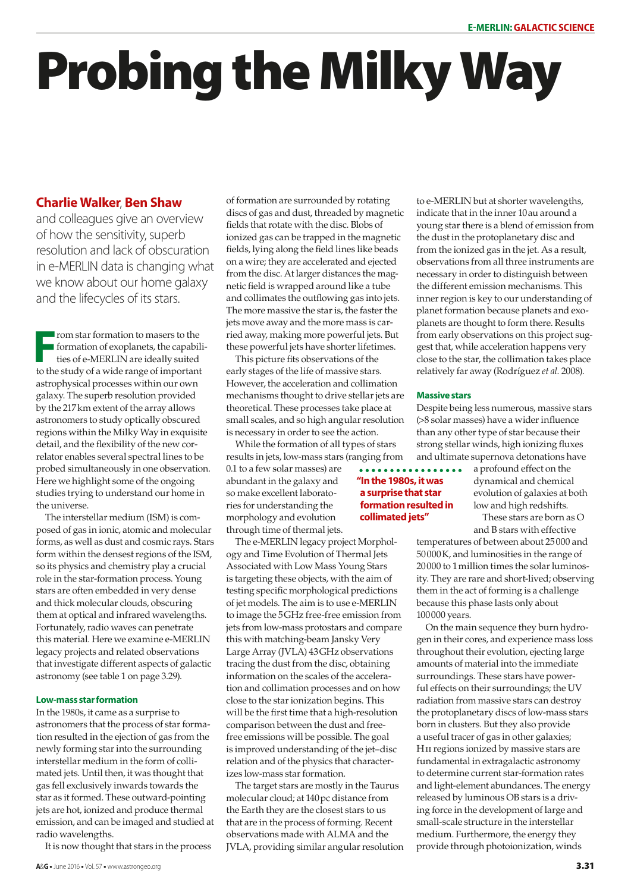# Probing the Milky Way

### **Charlie Walker**, **Ben Shaw**

and colleagues give an overview of how the sensitivity, superb resolution and lack of obscuration in e-MERLIN data is changing what we know about our home galaxy and the lifecycles of its stars.

**From star formation to masers to the formation of exoplanets, the capabilities of e-MERLIN are ideally suited to the study of a wide range of important** Trom star formation to masers to the formation of exoplanets, the capabilities of e-MERLIN are ideally suited astrophysical processes within our own galaxy. The superb resolution provided by the 217km extent of the array allows astronomers to study optically obscured regions within the Milky Way in exquisite detail, and the flexibility of the new correlator enables several spectral lines to be probed simultaneously in one observation. Here we highlight some of the ongoing studies trying to understand our home in the universe.

The interstellar medium (ISM) is composed of gas in ionic, atomic and molecular forms, as well as dust and cosmic rays. Stars form within the densest regions of the ISM, so its physics and chemistry play a crucial role in the star-formation process. Young stars are often embedded in very dense and thick molecular clouds, obscuring them at optical and infrared wavelengths. Fortunately, radio waves can penetrate this material. Here we examine e-MERLIN legacy projects and related observations that investigate different aspects of galactic astronomy (see table 1 on page 3.29).

#### **Low-mass star formation**

In the 1980s, it came as a surprise to astronomers that the process of star formation resulted in the ejection of gas from the newly forming star into the surrounding interstellar medium in the form of collimated jets. Until then, it was thought that gas fell exclusively inwards towards the star as it formed. These outward-pointing jets are hot, ionized and produce thermal emission, and can be imaged and studied at radio wavelengths.

It is now thought that stars in the process

of formation are surrounded by rotating discs of gas and dust, threaded by magnetic fields that rotate with the disc. Blobs of ionized gas can be trapped in the magnetic fields, lying along the field lines like beads on a wire; they are accelerated and ejected from the disc. At larger distances the magnetic field is wrapped around like a tube and collimates the outflowing gas into jets. The more massive the star is, the faster the jets move away and the more mass is carried away, making more powerful jets. But these powerful jets have shorter lifetimes.

This picture fits observations of the early stages of the life of massive stars. However, the acceleration and collimation mechanisms thought to drive stellar jets are theoretical. These processes take place at small scales, and so high angular resolution is necessary in order to see the action.

While the formation of all types of stars results in jets, low-mass stars (ranging from 0.1 to a few solar masses) are abundant in the galaxy and so make excellent laboratories for understanding the morphology and evolution through time of thermal jets.

The e-MERLIN legacy project Morphology and Time Evolution of Thermal Jets Associated with Low Mass Young Stars is targeting these objects, with the aim of testing specific morphological predictions of jet models. The aim is to use e-MERLIN to image the 5GHz free-free emission from jets from low-mass protostars and compare this with matching-beam Jansky Very Large Array (JVLA) 43GHz observations tracing the dust from the disc, obtaining information on the scales of the acceleration and collimation processes and on how close to the star ionization begins. This will be the first time that a high-resolution comparison between the dust and freefree emissions will be possible. The goal is improved understanding of the jet–disc relation and of the physics that characterizes low-mass star formation.

The target stars are mostly in the Taurus molecular cloud; at 140pc distance from the Earth they are the closest stars to us that are in the process of forming. Recent observations made with ALMA and the JVLA, providing similar angular resolution

to e-MERLIN but at shorter wavelengths, indicate that in the inner 10au around a young star there is a blend of emission from the dust in the protoplanetary disc and from the ionized gas in the jet. As a result, observations from all three instruments are necessary in order to distinguish between the different emission mechanisms. This inner region is key to our understanding of planet formation because planets and exoplanets are thought to form there. Results from early observations on this project suggest that, while acceleration happens very close to the star, the collimation takes place relatively far away (Rodríguez *et al.* 2008).

#### **Massive stars**

Despite being less numerous, massive stars (>8 solar masses) have a wider influence than any other type of star because their strong stellar winds, high ionizing fluxes and ultimate supernova detonations have

#### . . . . . . . . . . . . . . . . . **"In the 1980s, it was a surprise that star formation resulted in collimated jets"**

a profound effect on the dynamical and chemical evolution of galaxies at both low and high redshifts.

These stars are born as O and B stars with effective

temperatures of between about 25000 and 50000K, and luminosities in the range of 20000 to 1million times the solar luminosity. They are rare and short-lived; observing them in the act of forming is a challenge because this phase lasts only about 100000 years.

On the main sequence they burn hydrogen in their cores, and experience mass loss throughout their evolution, ejecting large amounts of material into the immediate surroundings. These stars have powerful effects on their surroundings; the UV radiation from massive stars can destroy the protoplanetary discs of low-mass stars born in clusters. But they also provide a useful tracer of gas in other galaxies; Hii regions ionized by massive stars are fundamental in extragalactic astronomy to determine current star-formation rates and light-element abundances. The energy released by luminous OB stars is a driving force in the development of large and small-scale structure in the interstellar medium. Furthermore, the energy they provide through photoionization, winds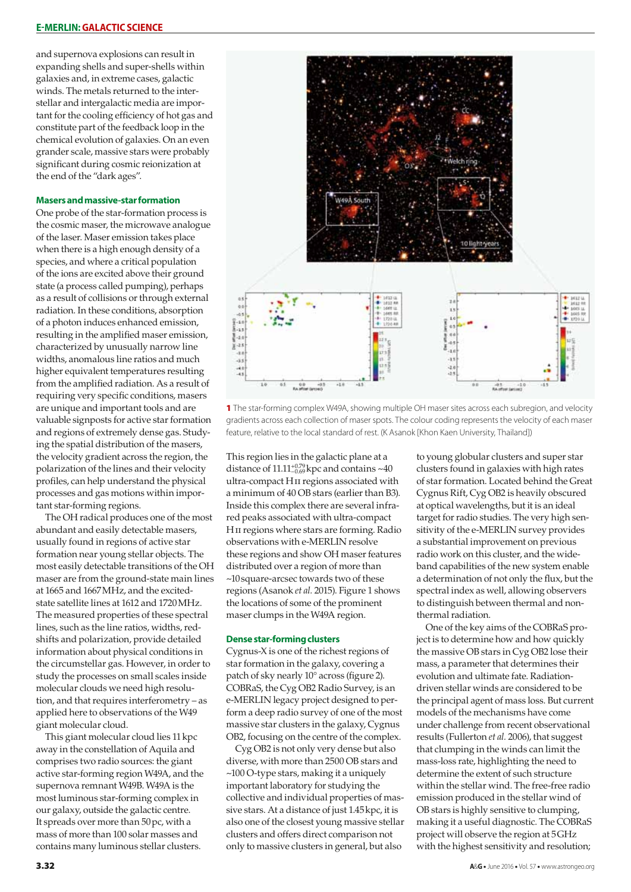and supernova explosions can result in expanding shells and super-shells within galaxies and, in extreme cases, galactic winds. The metals returned to the interstellar and intergalactic media are important for the cooling efficiency of hot gas and constitute part of the feedback loop in the chemical evolution of galaxies. On an even grander scale, massive stars were probably significant during cosmic reionization at the end of the "dark ages".

#### **Masers and massive-star formation**

One probe of the star-formation process is the cosmic maser, the microwave analogue of the laser. Maser emission takes place when there is a high enough density of a species, and where a critical population of the ions are excited above their ground state (a process called pumping), perhaps as a result of collisions or through external radiation. In these conditions, absorption of a photon induces enhanced emission, resulting in the amplified maser emission, characterized by unusually narrow line widths, anomalous line ratios and much higher equivalent temperatures resulting from the amplified radiation. As a result of requiring very specific conditions, masers are unique and important tools and are valuable signposts for active star formation and regions of extremely dense gas. Studying the spatial distribution of the masers, the velocity gradient across the region, the polarization of the lines and their velocity profiles, can help understand the physical processes and gas motions within important star-forming regions.

The OH radical produces one of the most abundant and easily detectable masers, usually found in regions of active star formation near young stellar objects. The most easily detectable transitions of the OH maser are from the ground-state main lines at 1665 and 1667MHz, and the excitedstate satellite lines at 1612 and 1720MHz. The measured properties of these spectral lines, such as the line ratios, widths, redshifts and polarization, provide detailed information about physical conditions in the circumstellar gas. However, in order to study the processes on small scales inside molecular clouds we need high resolution, and that requires interferometry – as applied here to observations of the W49 giant molecular cloud.

This giant molecular cloud lies 11kpc away in the constellation of Aquila and comprises two radio sources: the giant active star-forming region W49A, and the supernova remnant W49B. W49A is the most luminous star-forming complex in our galaxy, outside the galactic centre. It spreads over more than 50pc, with a mass of more than 100 solar masses and contains many luminous stellar clusters.



1 The star-forming complex W49A, showing multiple OH maser sites across each subregion, and velocity gradients across each collection of maser spots. The colour coding represents the velocity of each maser feature, relative to the local standard of rest. (K Asanok [Khon Kaen University, Thailand])

This region lies in the galactic plane at a distance of  $11.11_{-0.69}^{+0.79}$  kpc and contains ~40 ultra-compact Hii regions associated with a minimum of 40 OB stars (earlier than B3). Inside this complex there are several infrared peaks associated with ultra-compact Hii regions where stars are forming. Radio observations with e-MERLIN resolve these regions and show OH maser features distributed over a region of more than ~10square-arcsec towards two of these regions (Asanok *et al.* 2015). Figure 1 shows the locations of some of the prominent maser clumps in the W49A region.

#### **Dense star-forming clusters**

Cygnus-X is one of the richest regions of star formation in the galaxy, covering a patch of sky nearly 10° across (figure 2). COBRaS, the Cyg OB2 Radio Survey, is an e-MERLIN legacy project designed to perform a deep radio survey of one of the most massive star clusters in the galaxy, Cygnus OB2, focusing on the centre of the complex.

Cyg OB2 is not only very dense but also diverse, with more than 2500 OB stars and ~100 O-type stars, making it a uniquely important laboratory for studying the collective and individual properties of massive stars. At a distance of just 1.45kpc, it is also one of the closest young massive stellar clusters and offers direct comparison not only to massive clusters in general, but also

to young globular clusters and super star clusters found in galaxies with high rates of star formation. Located behind the Great Cygnus Rift, Cyg OB2 is heavily obscured at optical wavelengths, but it is an ideal target for radio studies. The very high sensitivity of the e-MERLIN survey provides a substantial improvement on previous radio work on this cluster, and the wideband capabilities of the new system enable a determination of not only the flux, but the spectral index as well, allowing observers to distinguish between thermal and nonthermal radiation.

One of the key aims of the COBRaS project is to determine how and how quickly the massive OB stars in Cyg OB2 lose their mass, a parameter that determines their evolution and ultimate fate. Radiationdriven stellar winds are considered to be the principal agent of mass loss. But current models of the mechanisms have come under challenge from recent observational results (Fullerton *et al.* 2006), that suggest that clumping in the winds can limit the mass-loss rate, highlighting the need to determine the extent of such structure within the stellar wind. The free-free radio emission produced in the stellar wind of OB stars is highly sensitive to clumping, making it a useful diagnostic. The COBRaS project will observe the region at 5GHz with the highest sensitivity and resolution;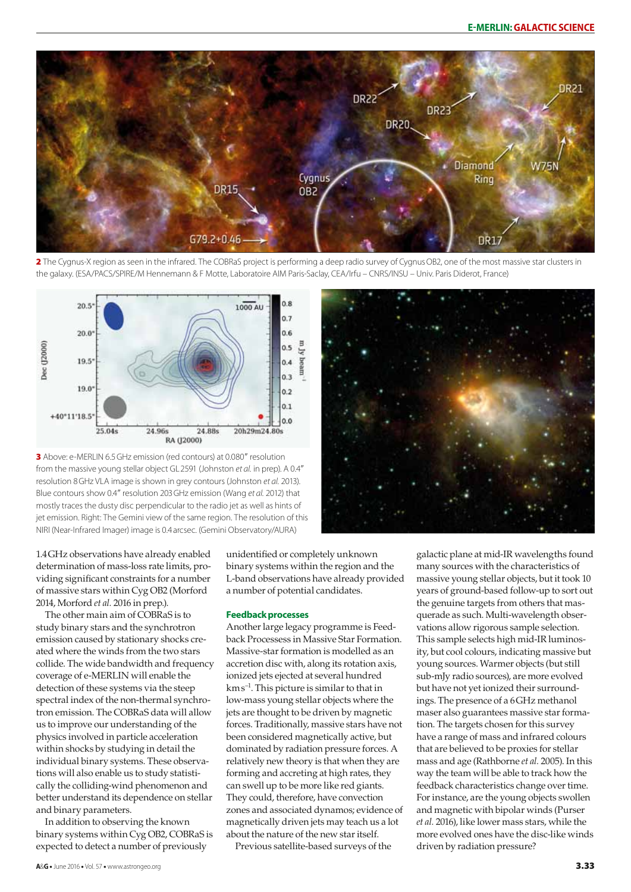

2 The Cygnus-X region as seen in the infrared. The COBRaS project is performing a deep radio survey of CygnusOB2, one of the most massive star clusters in the galaxy. (ESA/PACS/SPIRE/M Hennemann & F Motte, Laboratoire AIM Paris-Saclay, CEA/Irfu – CNRS/INSU – Univ. Paris Diderot, France)



3 Above: e-MERLIN 6.5 GHz emission (red contours) at 0.080" resolution from the massive young stellar object GL2591 (Johnston et al. in prep). A 0.4" resolution 8GHz VLA image is shown in grey contours (Johnston *et al.* 2013). Blue contours show 0.4ʺ resolution 203GHz emission (Wang *et al.* 2012) that mostly traces the dusty disc perpendicular to the radio jet as well as hints of jet emission. Right: The Gemini view of the same region. The resolution of this NIRI (Near-Infrared Imager) image is 0.4arcsec. (Gemini Observatory/AURA)

1.4GHz observations have already enabled determination of mass-loss rate limits, providing significant constraints for a number of massive stars within Cyg OB2 (Morford 2014, Morford *et al.* 2016 in prep.).

The other main aim of COBRaS is to study binary stars and the synchrotron emission caused by stationary shocks created where the winds from the two stars collide. The wide bandwidth and frequency coverage of e-MERLIN will enable the detection of these systems via the steep spectral index of the non-thermal synchrotron emission. The COBRaS data will allow us to improve our understanding of the physics involved in particle acceleration within shocks by studying in detail the individual binary systems. These observations will also enable us to study statistically the colliding-wind phenomenon and better understand its dependence on stellar and binary parameters.

In addition to observing the known binary systems within Cyg OB2, COBRaS is expected to detect a number of previously

unidentified or completely unknown binary systems within the region and the L-band observations have already provided a number of potential candidates.

#### **Feedback processes**

Another large legacy programme is Feedback Processess in Massive Star Formation. Massive-star formation is modelled as an accretion disc with, along its rotation axis, ionized jets ejected at several hundred kms–1. This picture is similar to that in low-mass young stellar objects where the jets are thought to be driven by magnetic forces. Traditionally, massive stars have not been considered magnetically active, but dominated by radiation pressure forces. A relatively new theory is that when they are forming and accreting at high rates, they can swell up to be more like red giants. They could, therefore, have convection zones and associated dynamos; evidence of magnetically driven jets may teach us a lot about the nature of the new star itself.

Previous satellite-based surveys of the



galactic plane at mid-IR wavelengths found many sources with the characteristics of massive young stellar objects, but it took 10 years of ground-based follow-up to sort out the genuine targets from others that masquerade as such. Multi-wavelength observations allow rigorous sample selection. This sample selects high mid-IR luminosity, but cool colours, indicating massive but young sources. Warmer objects (but still sub-mJy radio sources), are more evolved but have not yet ionized their surroundings. The presence of a 6GHz methanol maser also guarantees massive star formation. The targets chosen for this survey have a range of mass and infrared colours that are believed to be proxies for stellar mass and age (Rathborne *et al.* 2005). In this way the team will be able to track how the feedback characteristics change over time. For instance, are the young objects swollen and magnetic with bipolar winds (Purser *et al.* 2016), like lower mass stars, while the more evolved ones have the disc-like winds driven by radiation pressure?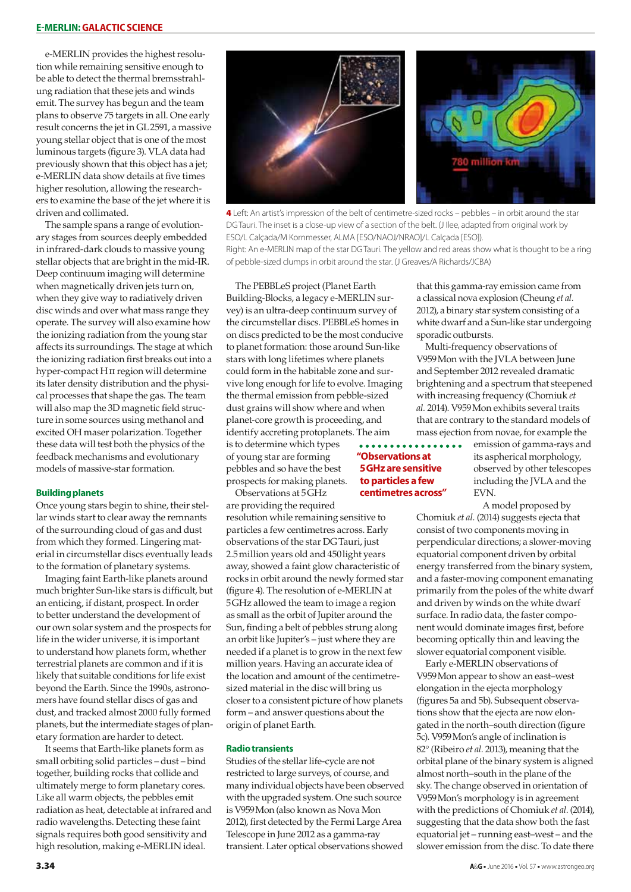#### **E-MERLIN: GALACTIC SCIENCE**

e-MERLIN provides the highest resolution while remaining sensitive enough to be able to detect the thermal bremsstrahlung radiation that these jets and winds emit. The survey has begun and the team plans to observe 75 targets in all. One early result concerns the jet in GL2591, a massive young stellar object that is one of the most luminous targets (figure 3). VLA data had previously shown that this object has a jet; e-MERLIN data show details at five times higher resolution, allowing the researchers to examine the base of the jet where it is driven and collimated.

The sample spans a range of evolutionary stages from sources deeply embedded in infrared-dark clouds to massive young stellar objects that are bright in the mid-IR. Deep continuum imaging will determine when magnetically driven jets turn on, when they give way to radiatively driven disc winds and over what mass range they operate. The survey will also examine how the ionizing radiation from the young star affects its surroundings. The stage at which the ionizing radiation first breaks out into a hyper-compact Hii region will determine its later density distribution and the physical processes that shape the gas. The team will also map the 3D magnetic field structure in some sources using methanol and excited OH maser polarization. Together these data will test both the physics of the feedback mechanisms and evolutionary models of massive-star formation.

#### **Building planets**

Once young stars begin to shine, their stellar winds start to clear away the remnants of the surrounding cloud of gas and dust from which they formed. Lingering material in circumstellar discs eventually leads to the formation of planetary systems.

Imaging faint Earth-like planets around much brighter Sun-like stars is difficult, but an enticing, if distant, prospect. In order to better understand the development of our own solar system and the prospects for life in the wider universe, it is important to understand how planets form, whether terrestrial planets are common and if it is likely that suitable conditions for life exist beyond the Earth. Since the 1990s, astronomers have found stellar discs of gas and dust, and tracked almost 2000 fully formed planets, but the intermediate stages of planetary formation are harder to detect.

It seems that Earth-like planets form as small orbiting solid particles – dust – bind together, building rocks that collide and ultimately merge to form planetary cores. Like all warm objects, the pebbles emit radiation as heat, detectable at infrared and radio wavelengths. Detecting these faint signals requires both good sensitivity and high resolution, making e-MERLIN ideal.



4 Left: An artist's impression of the belt of centimetre-sized rocks – pebbles – in orbit around the star DGTauri. The inset is a close-up view of a section of the belt. (J Ilee, adapted from original work by ESO/L Calçada/M Kornmesser, ALMA [ESO/NAOJ/NRAO]/L Calçada [ESO]).

Right: An e-MERLIN map of the star DGTauri. The yellow and red areas show what is thought to be a ring of pebble-sized clumps in orbit around the star. (J Greaves/A Richards/JCBA)

Building-Blocks, a legacy e-MERLIN survey) is an ultra-deep continuum survey of the circumstellar discs. PEBBLeS homes in on discs predicted to be the most conducive to planet formation: those around Sun-like stars with long lifetimes where planets could form in the habitable zone and survive long enough for life to evolve. Imaging the thermal emission from pebble-sized dust grains will show where and when planet-core growth is proceeding, and identify accreting protoplanets. The aim

is to determine which types of young star are forming pebbles and so have the best prospects for making planets.

**"Observations at 5GHz are sensitive to particles a few centimetres across"**

 $\bullet\bullet\bullet\bullet$ 

emission of gamma-rays and its aspherical morphology, observed by other telescopes including the JVLA and the EVN.

A model proposed by Chomiuk *et al.* (2014) suggests ejecta that consist of two components moving in perpendicular directions; a slower-moving equatorial component driven by orbital energy transferred from the binary system, and a faster-moving component emanating primarily from the poles of the white dwarf and driven by winds on the white dwarf surface. In radio data, the faster component would dominate images first, before becoming optically thin and leaving the slower equatorial component visible.

that this gamma-ray emission came from a classical nova explosion (Cheung *et al.*  2012), a binary star system consisting of a white dwarf and a Sun-like star undergoing

Multi-frequency observations of V959Mon with the JVLA between June and September 2012 revealed dramatic

sporadic outbursts.

Early e-MERLIN observations of V959Mon appear to show an east–west elongation in the ejecta morphology (figures 5a and 5b). Subsequent observations show that the ejecta are now elongated in the north–south direction (figure 5c). V959Mon's angle of inclination is 82° (Ribeiro *et al.* 2013), meaning that the orbital plane of the binary system is aligned almost north–south in the plane of the sky. The change observed in orientation of V959Mon's morphology is in agreement with the predictions of Chomiuk *et al*. (2014), suggesting that the data show both the fast equatorial jet – running east–west – and the slower emission from the disc. To date there

## The PEBBLeS project (Planet Earth

brightening and a spectrum that steepened with increasing frequency (Chomiuk *et al.* 2014). V959Mon exhibits several traits that are contrary to the standard models of mass ejection from novae, for example the . . . . . . . . . .

Observations at 5GHz

are providing the required resolution while remaining sensitive to particles a few centimetres across. Early observations of the star DGTauri, just 2.5million years old and 450light years away, showed a faint glow characteristic of rocks in orbit around the newly formed star (figure 4). The resolution of e-MERLIN at 5GHz allowed the team to image a region as small as the orbit of Jupiter around the Sun, finding a belt of pebbles strung along an orbit like Jupiter's – just where they are needed if a planet is to grow in the next few million years. Having an accurate idea of the location and amount of the centimetresized material in the disc will bring us closer to a consistent picture of how planets form – and answer questions about the origin of planet Earth.

#### **Radio transients**

Studies of the stellar life-cycle are not restricted to large surveys, of course, and many individual objects have been observed with the upgraded system. One such source is V959Mon (also known as Nova Mon 2012), first detected by the Fermi Large Area Telescope in June 2012 as a gamma-ray transient. Later optical observations showed